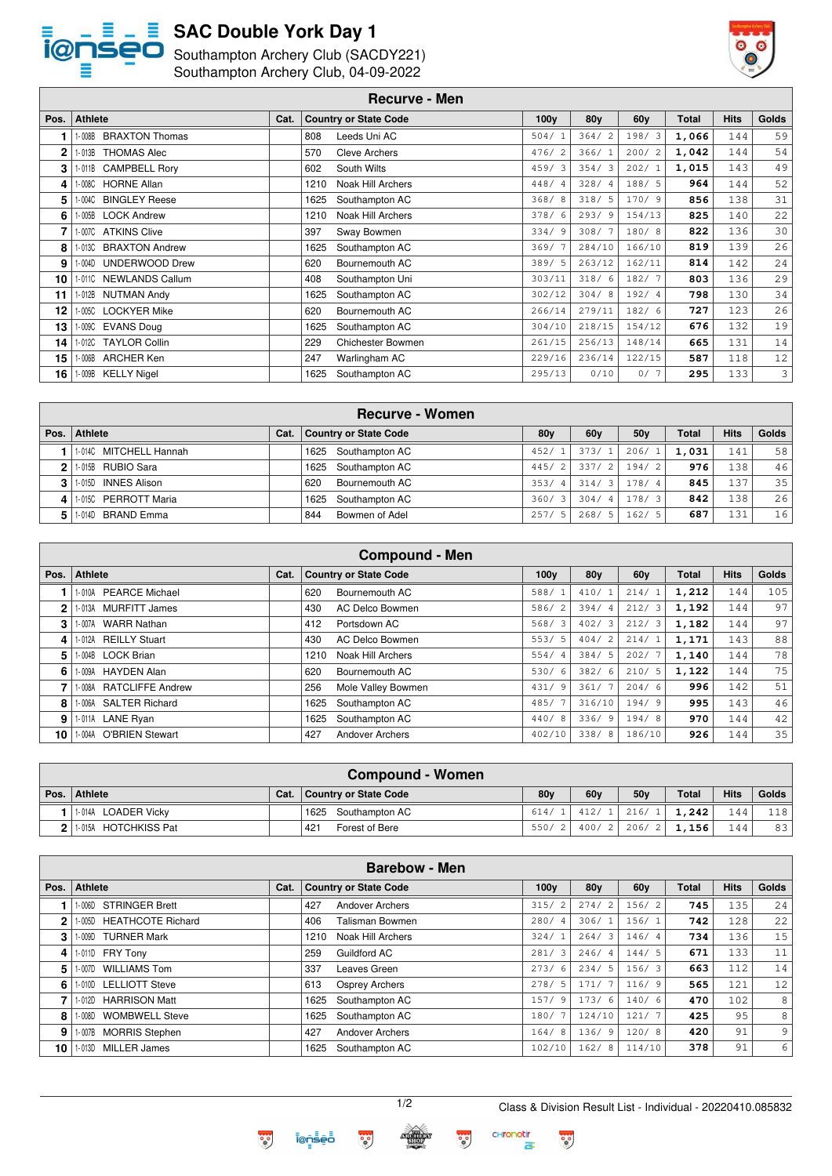

 $\sqrt{2}$ 

### **SAC Double York Day 1**

Southampton Archery Club (SACDY221)



Southampton Archery Club, 04-09-2022

|      | <b>Recurve - Men</b>            |      |                                  |                  |                 |                 |       |             |              |  |  |
|------|---------------------------------|------|----------------------------------|------------------|-----------------|-----------------|-------|-------------|--------------|--|--|
| Pos. | <b>Athlete</b>                  | Cat. | <b>Country or State Code</b>     | 100 <sub>V</sub> | 80 <sub>V</sub> | 60 <sub>V</sub> | Total | <b>Hits</b> | <b>Golds</b> |  |  |
|      | <b>BRAXTON Thomas</b><br>1-008B |      | 808<br>Leeds Uni AC              | 504/1            | 364/2           | 198/3           | 1,066 | 144         | 59           |  |  |
| 2    | <b>THOMAS Alec</b><br>1-013B    |      | 570<br><b>Cleve Archers</b>      | 476/2            | 366/1           | 200/2           | 1,042 | 144         | 54           |  |  |
| 3    | 1-011B CAMPBELL Rory            |      | South Wilts<br>602               | 459/3            | 354/3           | 202/1           | 1,015 | 143         | 49           |  |  |
| 4    | 1-008C HORNE Allan              |      | Noak Hill Archers<br>1210        | 448/4            | 328/4           | 188/5           | 964   | 144         | 52           |  |  |
| 5    | 1-004C BINGLEY Reese            |      | 1625<br>Southampton AC           | 368/8            | 318/5           | 170/9           | 856   | 138         | 31           |  |  |
| 6    | 005B LOCK Andrew                |      | <b>Noak Hill Archers</b><br>1210 | 378/6            | 293/9           | 154/13          | 825   | 140         | 22           |  |  |
|      | 1-007C ATKINS Clive             |      | 397<br>Sway Bowmen               | 334/9            | 308/7           | 180/8           | 822   | 136         | 30           |  |  |
| 8    | 1-013C BRAXTON Andrew           |      | 1625<br>Southampton AC           | 369/7            | 284/10          | 166/10          | 819   | 139         | 26           |  |  |
| 9    | 1-004D UNDERWOOD Drew           |      | 620<br>Bournemouth AC            | 389/5            | 263/12          | 162/11          | 814   | 142         | 24           |  |  |
| 10 I | 1-0110 NEWLANDS Callum          |      | 408<br>Southampton Uni           | 303/11           | 318/6           | 182/7           | 803   | 136         | 29           |  |  |
| 11   | 1-012B NUTMAN Andy              |      | 1625<br>Southampton AC           | 302/12           | 304/8           | 192/4           | 798   | 130         | 34           |  |  |
| 12   | 1-005C LOCKYER Mike             |      | 620<br>Bournemouth AC            | 266/14           | 279/11          | 182/6           | 727   | 123         | 26           |  |  |
| 13   | 1-009C EVANS Doug               |      | 1625<br>Southampton AC           | 304/10           | 218/15          | 154/12          | 676   | 132         | 19           |  |  |
| 14   | 1-012C TAYLOR Collin            |      | 229<br><b>Chichester Bowmen</b>  | 261/15           | 256/13          | 148/14          | 665   | 131         | 14           |  |  |
| 15 I | 1-006B ARCHER Ken               |      | 247<br>Warlingham AC             | 229/16           | 236/14          | 122/15          | 587   | 118         | 12           |  |  |
| 16 I | 1-009B KELLY Nigel              |      | 1625<br>Southampton AC           | 295/13           | 0/10            | 0/7             | 295   | 133         | 3            |  |  |

|    |                                |      | <b>Recurve - Women</b> |                 |                 |                 |              |             |              |
|----|--------------------------------|------|------------------------|-----------------|-----------------|-----------------|--------------|-------------|--------------|
|    | Pos.   Athlete                 | Cat. | Country or State Code  | 80 <sub>V</sub> | 60 <sub>V</sub> | 50 <sub>V</sub> | <b>Total</b> | <b>Hits</b> | <b>Golds</b> |
|    | 1-014C MITCHELL Hannah         |      | 1625 Southampton AC    | 452/            | 373/1           | 206/            | 1,031        | 141         | 58           |
|    | 1-015B RUBIO Sara              |      | 1625 Southampton AC    | 445/2           | 337/2           | 194/2           | 976          | 138         | 46           |
|    | <b>INNES Alison</b><br>- 015D  |      | 620<br>Bournemouth AC  | 353/4           | 314/3           | 178/4           | 845          | 137         | 351          |
| 41 | <b>PERROTT Maria</b><br>- 015C |      | Southampton AC<br>1625 | 360/3           | 304/4           | 178/3           | 842          | 138         | 26           |
| 51 | BRAND Emma<br>l-014D           |      | Bowmen of Adel<br>844  | 257/5           | 268/5           | 162/<br>- 5     | 687          | 131         | 16           |

| <b>Compound - Men</b> |                                  |      |                               |                  |                 |                 |              |             |       |  |  |
|-----------------------|----------------------------------|------|-------------------------------|------------------|-----------------|-----------------|--------------|-------------|-------|--|--|
| Pos.                  | <b>Athlete</b>                   | Cat. | <b>Country or State Code</b>  | 100 <sub>V</sub> | 80 <sub>V</sub> | 60 <sub>V</sub> | <b>Total</b> | <b>Hits</b> | Golds |  |  |
|                       | 1-010A PEARCE Michael            |      | 620<br>Bournemouth AC         | 588/             | 410/1           | 214/1           | 1,212        | 144         | 105   |  |  |
| $\mathbf{2}$          | 1-013A MURFITT James             |      | <b>AC Delco Bowmen</b><br>430 | 586/<br>2        | 394/4           | 212/3           | 1,192        | 144         | 97    |  |  |
| 3                     | 1-007A WARR Nathan               |      | Portsdown AC<br>412           | 568/3            | 402/3           | 212/3           | 1,182        | 144         | 97    |  |  |
| 4                     | 1-012A REILLY Stuart             |      | <b>AC Delco Bowmen</b><br>430 | 553/5            | 404/2           | 214/1           | 1,171        | 143         | 88    |  |  |
| 5                     | 1-004B LOCK Brian                |      | Noak Hill Archers<br>1210     | 554/4            | 384/5           | 202/7           | 1,140        | 144         | 78    |  |  |
| 6                     | 1-009A HAYDEN Alan               |      | 620<br>Bournemouth AC         | 530/<br>-6       | 382/6           | 210/5           | 1,122        | 144         | 75    |  |  |
|                       | 1-008A RATCLIFFE Andrew          |      | Mole Valley Bowmen<br>256     | 431/9            | 361/7           | 204/6           | 996          | 142         | 51    |  |  |
| 8                     | 1-006A SALTER Richard            |      | Southampton AC<br>1625        | 485/7            | 316/10          | 194/9           | 995          | 143         | 46    |  |  |
| 9                     | 1-011A LANE Ryan                 |      | Southampton AC<br>1625        | 440/<br>8        | 336/9           | 194/8           | 970          | 144         | 42    |  |  |
| 10                    | <b>O'BRIEN Stewart</b><br>1-004A |      | 427<br>Andover Archers        | 402/10           | 338/8           | 186/10          | 926          | 144         | 35    |  |  |

|                |                      | <b>Compound - Women</b>      |                 |     |                     |              |                  |       |
|----------------|----------------------|------------------------------|-----------------|-----|---------------------|--------------|------------------|-------|
|                | Pos. Athlete         | Cat.   Country or State Code | 80 <sub>V</sub> | 60v | 50 <sub>V</sub>     | <b>Total</b> | <b>Hits</b>      | Golds |
|                | 1-014A LOADER Vicky  | 1625 Southampton AC          | 614/1           |     | $412/1$ 216/1       | 1,242        | 144 <sub>1</sub> | 118   |
| 2 <sup>1</sup> | 1-015A HOTCHKISS Pat | 421<br>Forest of Bere        | 550/21          |     | $400/2$ 206/2 1.156 |              | 144              | 83    |

|      | <b>Barebow - Men</b>               |      |                               |                        |                 |                 |              |             |       |  |  |
|------|------------------------------------|------|-------------------------------|------------------------|-----------------|-----------------|--------------|-------------|-------|--|--|
| Pos. | <b>Athlete</b>                     | Cat. | <b>Country or State Code</b>  | 100 <sub>V</sub>       | 80 <sub>V</sub> | 60 <sub>V</sub> | <b>Total</b> | <b>Hits</b> | Golds |  |  |
|      | <b>STRINGER Brett</b><br>1-006D    |      | 427<br><b>Andover Archers</b> | 315/                   | 274/2           | 156/2           | 745          | 135         | 24    |  |  |
| 2    | <b>HEATHCOTE Richard</b><br>1-005D |      | Talisman Bowmen<br>406        | 280/<br>$\overline{4}$ | 306/1           | 156/1           | 742          | 128         | 22    |  |  |
| 3    | <b>TURNER Mark</b><br>1-009D       |      | Noak Hill Archers<br>1210     | 324/1                  | 264/3           | 146/4           | 734          | 136         | 15    |  |  |
| 4    | 1-011D FRY Tony                    |      | <b>Guildford AC</b><br>259    | 281/3                  | 246/4           | 144/5           | 671          | 133         | 11    |  |  |
| 5    | <b>WILLIAMS Tom</b><br>1-007D      |      | 337<br>Leaves Green           | 273/6                  | 234/5           | 156/3           | 663          | 112         | 14    |  |  |
| 6.   | 1-010D LELLIOTT Steve              |      | 613<br>Osprey Archers         | 278/5                  | 171/7           | 116/9           | 565          | 121         | 12    |  |  |
|      | <b>HARRISON Matt</b><br>$1-012D$   |      | Southampton AC<br>1625        | 157/9                  | 173/6           | 140/6           | 470          | 102         | 8     |  |  |
| 8    | <b>WOMBWELL Steve</b><br>1-008D    |      | Southampton AC<br>1625        | 180/7                  | 124/10          | 121/7           | 425          | 95          | 8     |  |  |
| 9    | 1-007B MORRIS Stephen              |      | 427<br><b>Andover Archers</b> | 164/8                  | 136/9           | 120/8           | 420          | 91          | 9     |  |  |
| 10   | MILLER James<br>1-013D             |      | 1625<br>Southampton AC        | 102/10                 | 162/8           | 114/10          | 378          | 91          | 6     |  |  |

**CHronotin**<br>존

 $\frac{1}{2}$ 

 $\dddot{\bullet}$ 



**PO** 

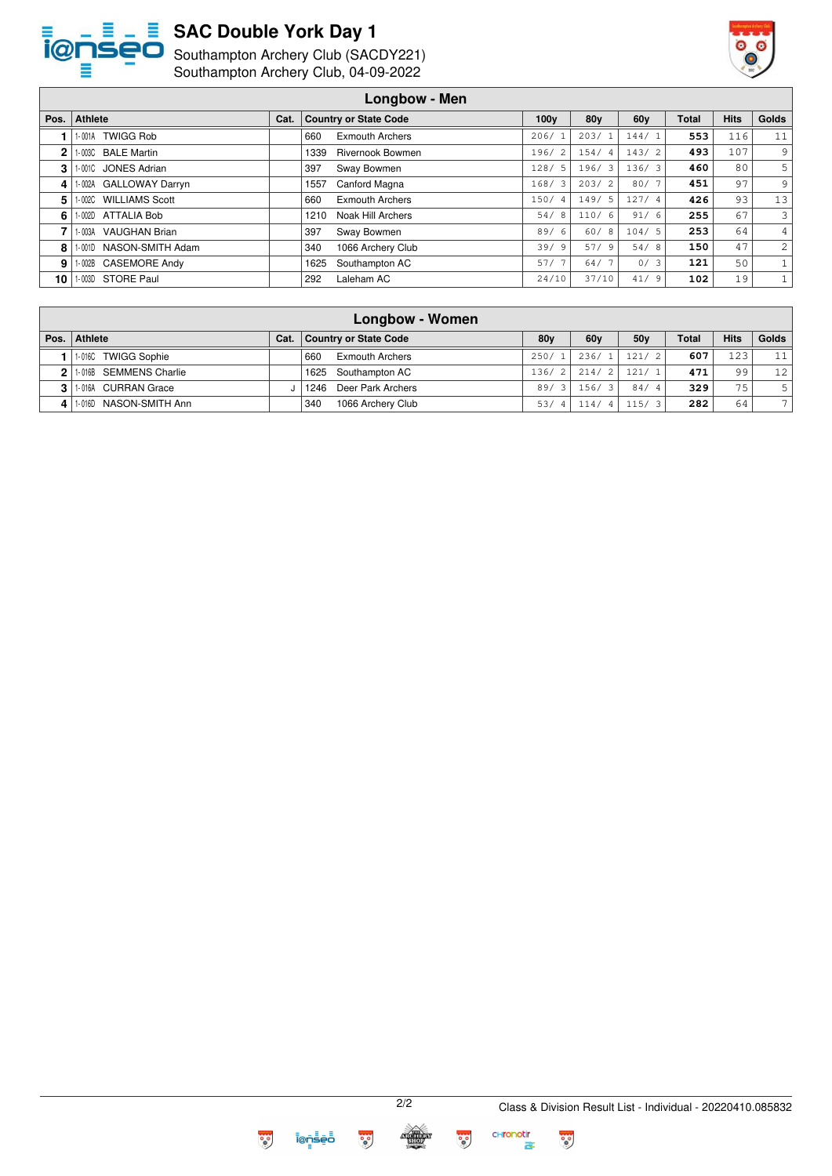

## **SAC Double York Day 1**

Southampton Archery Club (SACDY221)



Southampton Archery Club, 04-09-2022

|      | Longbow - Men                   |      |                                 |                        |                        |                 |              |             |                |  |
|------|---------------------------------|------|---------------------------------|------------------------|------------------------|-----------------|--------------|-------------|----------------|--|
| Pos. | <b>Athlete</b>                  | Cat. | <b>Country or State Code</b>    | 100 <sub>V</sub>       | 80y                    | 60 <sub>V</sub> | <b>Total</b> | <b>Hits</b> | Golds          |  |
|      | <b>TWIGG Rob</b><br>$-001A$     |      | 660<br><b>Exmouth Archers</b>   | 206/                   | 203/                   | 144/            | 553          | 116         | 11             |  |
| 2    | <b>BALE Martin</b><br>- 003C    |      | <b>Rivernook Bowmen</b><br>1339 | 196/<br>-2             | 154/<br>$\overline{4}$ | 143/2           | 493          | 107         | 9              |  |
| 3    | 0010 JONES Adrian               |      | 397<br>Sway Bowmen              | 128/5                  | 196/3                  | 136/3           | 460          | 80          | 5 <sup>1</sup> |  |
| 4    | 002A GALLOWAY Darryn            |      | Canford Magna<br>1557           | 168/3                  | 203/2                  | 80/7            | 451          | 97          | 9 <sup>1</sup> |  |
| 5    | <b>WILLIAMS Scott</b><br>- 002C |      | <b>Exmouth Archers</b><br>660   | 150/<br>$\overline{4}$ | 149/5                  | 127/4           | 426          | 93          | 13             |  |
| 6.   | -002D ATTALIA Bob               |      | Noak Hill Archers<br>1210       | 54/<br>-8              | 110/6                  | 91/6            | 255          | 67          | $\overline{3}$ |  |
|      | VAUGHAN Brian<br>- 003A         |      | 397<br>Sway Bowmen              | 89/6                   | 60/8                   | 104/5           | 253          | 64          | 4 <sup>1</sup> |  |
| 8    | 1-001D NASON-SMITH Adam         |      | 1066 Archery Club<br>340        | 39/9                   | 57/9                   | 54/8            | 150          | 47          | $\overline{2}$ |  |
| 9    | 002B CASEMORE Andy              |      | Southampton AC<br>1625          | 57/                    | 64/7                   | 0/3             | 121          | 50          |                |  |
| 10   | STORE Paul<br>- 003D            |      | 292<br>Laleham AC               | 24/10                  | 37/10                  | 41/9            | 102          | 19          |                |  |

|                |                        |      | <b>Longbow - Women</b>        |                 |                 |                 |              |             |                |
|----------------|------------------------|------|-------------------------------|-----------------|-----------------|-----------------|--------------|-------------|----------------|
|                | Pos.   Athlete         | Cat. | <b>Country or State Code</b>  | 80 <sub>V</sub> | 60 <sub>V</sub> | 50 <sub>V</sub> | <b>Total</b> | <b>Hits</b> | Golds          |
|                | 1-016C TWIGG Sophie    |      | <b>Exmouth Archers</b><br>660 | 250/1           | 236/1           | 121/2           | 607          | 123         | 11             |
| 21             | 1.016B SEMMENS Charlie |      | 1625 Southampton AC           |                 | $136/2$   214/2 | 121/1           | 471          | 99          | 12             |
| 3 <sup>1</sup> | 1-016A CURRAN Grace    |      | 1246 Deer Park Archers        | 89/3            | 156/3           | 84/4            | 329          | 75          |                |
|                | 1-016D NASON-SMITH Ann |      | 1066 Archery Club<br>340      | 53/             | 114/4           | 115/3           | 282          | 64          | 7 <sup>1</sup> |



 $\frac{1}{2}$ 

 $\frac{1}{2}$ 



**CHronotin**<br>존

**PO** 

 $\frac{1}{2}$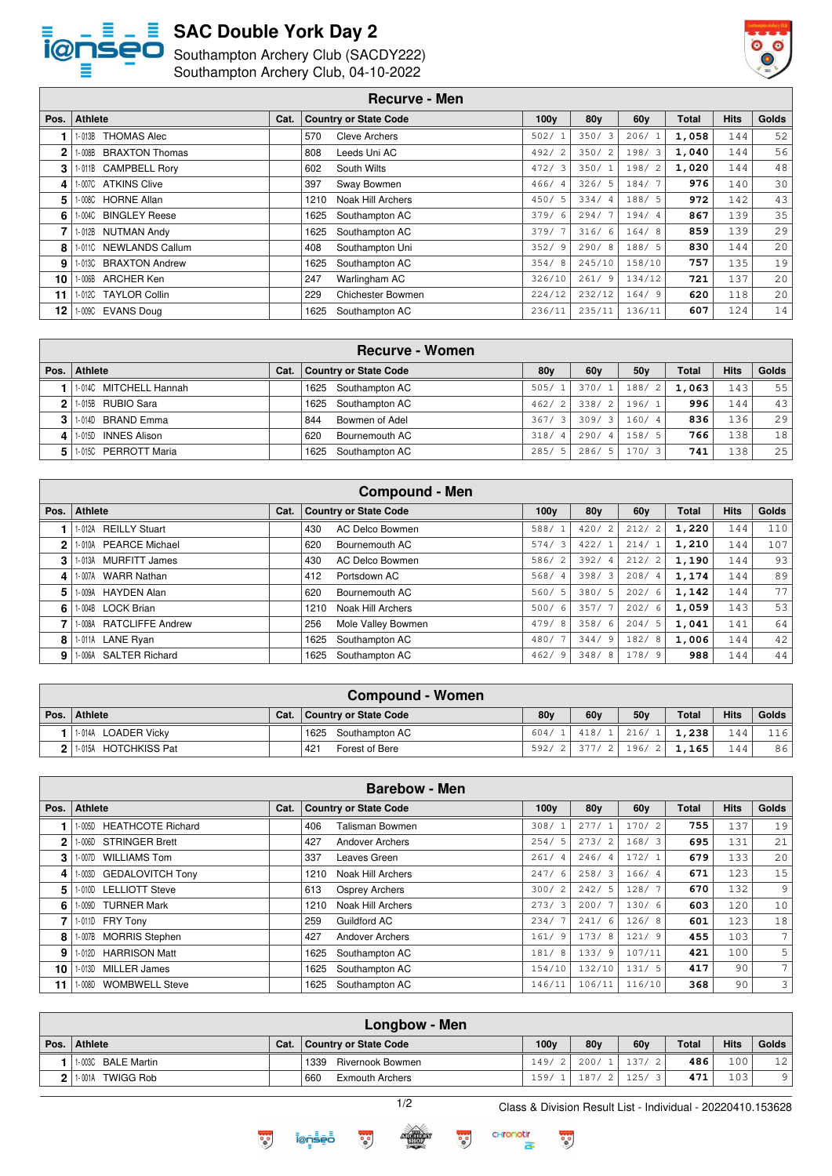

# $S = S$  SAC Double York Day 2</u>

SeO Southampton Archery Club (SACDY222) Southampton Archery Club, 04-10-2022



|                 |                                  |      | Southampton Archery Club, 04-10-2022 |                  |                 |                 |       |             |       |
|-----------------|----------------------------------|------|--------------------------------------|------------------|-----------------|-----------------|-------|-------------|-------|
|                 |                                  |      | <b>Recurve - Men</b>                 |                  |                 |                 |       |             |       |
| Pos.            | <b>Athlete</b>                   | Cat. | <b>Country or State Code</b>         | 100 <sub>V</sub> | 80 <sub>V</sub> | 60 <sub>V</sub> | Total | <b>Hits</b> | Golds |
|                 | <b>THOMAS Alec</b><br>$1 - 013B$ |      | <b>Cleve Archers</b><br>570          | 502/             | 350/3           | 206/1           | 1,058 | 144         | 52    |
|                 | <b>BRAXTON Thomas</b><br>$-008B$ |      | 808<br>Leeds Uni AC                  | 492/2            | 350/2           | 198/3           | 1,040 | 144         | 56    |
|                 | 1-011B CAMPBELL Rory             |      | 602<br>South Wilts                   | 472/3            | 350/1           | 198/2           | 1,020 | 144         | 48    |
| 4               | 1-007C ATKINS Clive              |      | 397<br>Sway Bowmen                   | 466/4            | 326/5           | 184/7           | 976   | 140         | 30    |
| 5 I             | 1-008C HORNE Allan               |      | Noak Hill Archers<br>1210            | 450/5            | 334/4           | 188/ 5          | 972   | 142         | 43    |
| 61              | 1-004C BINGLEY Reese             |      | 1625<br>Southampton AC               | 379/6            | 294/7           | 194/4           | 867   | 139         | 35    |
|                 | <b>NUTMAN Andy</b><br>1-012B     |      | Southampton AC<br>1625               | 379/7            | 316/6           | 164/8           | 859   | 139         | 29    |
| 8               | 1-0110 NEWLANDS Callum           |      | Southampton Uni<br>408               | 352/9            | 290/8           | 188/5           | 830   | 144         | 20    |
| 9.              | 1-013C BRAXTON Andrew            |      | Southampton AC<br>1625               | 354/8            | 245/10          | 158/10          | 757   | 135         | 19    |
| 10              | 1-006B<br>ARCHER Ken             |      | 247<br>Warlingham AC                 | 326/10           | 261/9           | 134/12          | 721   | 137         | 20    |
| 11              | 1-012C TAYLOR Collin             |      | 229<br>Chichester Bowmen             | 224/12           | 232/12          | 164/9           | 620   | 118         | 20    |
| 12 <sup>1</sup> | 1-009C EVANS Doug                |      | 1625<br>Southampton AC               | 236/11           | 235/11          | 136/11          | 607   | 124         | 14    |

| <b>Recurve - Women</b> |      |                              |                        |                 |                        |              |             |       |  |
|------------------------|------|------------------------------|------------------------|-----------------|------------------------|--------------|-------------|-------|--|
| Pos.   Athlete         | Cat. | <b>Country or State Code</b> | 80y                    | 60 <sub>V</sub> | 50 <sub>V</sub>        | <b>Total</b> | <b>Hits</b> | Golds |  |
| 1-014C MITCHELL Hannah |      | Southampton AC<br>1625       | 505/1                  | 370/1           | 188/<br>$\overline{2}$ | 1.063        | 143         | 55    |  |
| 1.015B RUBIO Sara      |      | Southampton AC<br>1625       | $\overline{2}$<br>462/ | 338/2           | 196/1                  | 996          | 144         | 43    |  |
| 3 1 1 0140 BRAND Emma  |      | 844<br>Bowmen of Adel        | 367/3                  | 309/3           | 160/4                  | 836          | 136         | 29    |  |
| 4 1.015D INNES Alison  |      | 620<br>Bournemouth AC        | 318/4                  | 290/4           | 158/5                  | 766          | 138         | 18    |  |
| 5 1.0150 PERROTT Maria |      | Southampton AC<br>1625       | 285/5                  | 286/5           | 170/3                  | 741          | 138         | 25    |  |

1-009C EVANS Doug 1625 Southampton AC 236/11 235/11 136/11 **607** 124 14

| <b>Compound - Men</b> |                                 |      |                               |                        |                        |                        |              |             |       |  |
|-----------------------|---------------------------------|------|-------------------------------|------------------------|------------------------|------------------------|--------------|-------------|-------|--|
| Pos.                  | <b>Athlete</b>                  | Cat. | <b>Country or State Code</b>  | 100 <sub>V</sub>       | 80 <sub>V</sub>        | 60 <sub>V</sub>        | <b>Total</b> | <b>Hits</b> | Golds |  |
|                       | <b>REILLY Stuart</b><br>1-012A  |      | <b>AC Delco Bowmen</b><br>430 | 588/                   | 420/<br>$\overline{2}$ | 212/<br>2              | 1,220        | 144         | 110   |  |
| 2                     | <b>PEARCE Michael</b><br>1-010A |      | 620<br>Bournemouth AC         | 574/3                  | 422/                   | 214/1                  | 1,210        | 144         | 107   |  |
| 3                     | 1-013A MURFITT James            |      | <b>AC Delco Bowmen</b><br>430 | 2<br>586/              | 392/4                  | 212/2                  | 1,190        | 144         | 93    |  |
| 4                     | <b>WARR Nathan</b><br>1-007A    |      | 412<br>Portsdown AC           | 568/<br>$\overline{4}$ | 398/3                  | 208/<br>$\overline{4}$ | 1,174        | 144         | 89    |  |
| 5.                    | HAYDEN Alan<br>1-009A           |      | 620<br>Bournemouth AC         | 560/5                  | 380/5                  | 202/6                  | 1,142        | 144         | 77    |  |
| 6                     | 1-004B LOCK Brian               |      | Noak Hill Archers<br>1210     | 500/<br>6              | 357/7                  | 202/<br>6              | 1,059        | 143         | 53    |  |
|                       | 1-008A RATCLIFFE Andrew         |      | Mole Valley Bowmen<br>256     | 479/<br>8              | 358/6                  | 204/5                  | 1,041        | 141         | 64    |  |
| 8                     | 1-011A LANE Ryan                |      | Southampton AC<br>1625        | 480/                   | 344/9                  | 182/<br>- 8            | 1,006        | 144         | 42    |  |
| 9                     | 1-006A SALTER Richard           |      | 1625<br>Southampton AC        | 462/<br>-9             | 348/8                  | 178/9                  | 988          | 144         | 44    |  |

| Compound - Women      |      |                       |                 |     |                                 |              |             |       |  |  |
|-----------------------|------|-----------------------|-----------------|-----|---------------------------------|--------------|-------------|-------|--|--|
| Pos. Athlete          | Cat. | Country or State Code | 80 <sub>V</sub> | 60v | 50v                             | <b>Total</b> | <b>Hits</b> | Golds |  |  |
| 1-014A LOADER Vicky   |      | 1625 Southampton AC   |                 |     | 604/ 1 418/ 1 216/ 1 1.238      |              | 144         | 116   |  |  |
| 11-015A HOTCHKISS Pat |      | 421<br>Forest of Bere |                 |     | $592/2$   377/2   196/2   1,165 |              | 144         | 86    |  |  |

|      |                                    |      | <b>Barebow - Men</b>          |                  |        |                 |              |             |                 |
|------|------------------------------------|------|-------------------------------|------------------|--------|-----------------|--------------|-------------|-----------------|
| Pos. | <b>Athlete</b>                     | Cat. | <b>Country or State Code</b>  | 100 <sub>V</sub> | 80v    | 60 <sub>V</sub> | <b>Total</b> | <b>Hits</b> | Golds           |
|      | <b>HEATHCOTE Richard</b><br>1-005D |      | 406<br>Talisman Bowmen        | 308/1            | 277/   | 170/2           | 755          | 137         | 19              |
| 2    | 1-006D STRINGER Brett              |      | 427<br>Andover Archers        | 254/5            | 273/2  | 168/3           | 695          | 131         | 21              |
| 3    | <b>WILLIAMS Tom</b><br>1- 007D     |      | 337<br>Leaves Green           | 261/<br>-4       | 246/4  | 172/1           | 679          | 133         | 20 <sup>1</sup> |
| 4    | 1-003D GEDALOVITCH Tony            |      | Noak Hill Archers<br>1210     | 247/6            | 258/3  | 166/4           | 671          | 123         | 15              |
| 5    | 1-010D LELLIOTT Steve              |      | 613<br>Osprey Archers         | 300/2            | 242/5  | 128/7           | 670          | 132         | 9               |
| 6    | 1-009D TURNER Mark                 |      | Noak Hill Archers<br>1210     | 273/3            | 200/7  | 130/6           | 603          | 120         | 10 <sup>1</sup> |
|      | 1-011D FRY Tony                    |      | Guildford AC<br>259           | 234/7            | 241/6  | 126/8           | 601          | 123         | 18              |
| 8    | 1-007B MORRIS Stephen              |      | <b>Andover Archers</b><br>427 | 161/<br>-9       | 173/8  | 121/9           | 455          | 103         | 7 <sup>1</sup>  |
| 9    | 1-012D HARRISON Matt               |      | 1625<br>Southampton AC        | 181/<br>-8       | 133/9  | 107/11          | 421          | 100         | 5 <sup>1</sup>  |
| 10   | MILLER James<br>1-013D             |      | Southampton AC<br>1625        | 154/10           | 132/10 | 131/5           | 417          | 90          | 7 <sup>1</sup>  |
| 11   | <b>WOMBWELL Steve</b><br>1-008D    |      | Southampton AC<br>1625        | 146/11           | 106/11 | 116/10          | 368          | 90          | $\overline{3}$  |

|      | Longbow - Men              |      |                               |                  |                 |                     |              |             |                 |
|------|----------------------------|------|-------------------------------|------------------|-----------------|---------------------|--------------|-------------|-----------------|
| Pos. | <b>Athlete</b>             | Cat. | Country or State Code         | 100 <sub>v</sub> | 80 <sub>v</sub> | 60 <sub>v</sub>     | <b>Total</b> | <b>Hits</b> | Golds           |
|      | 1-003C BALE Martin         |      | 1339 Rivernook Bowmen         |                  |                 | $149/2$ 200/1 137/2 | 486          | 1001        | 12 <sup>1</sup> |
|      | <b>TWIGG Rob</b><br>1-001A |      | 660<br><b>Exmouth Archers</b> | 159/             | 187/2           | 125/3               | 471          | 1031        | 9               |



1/2 Class & Division Result List - Individual - 20220410.153628



 $\frac{1}{2}$ 



 $\frac{1}{2}$ 



 $\frac{1}{2}$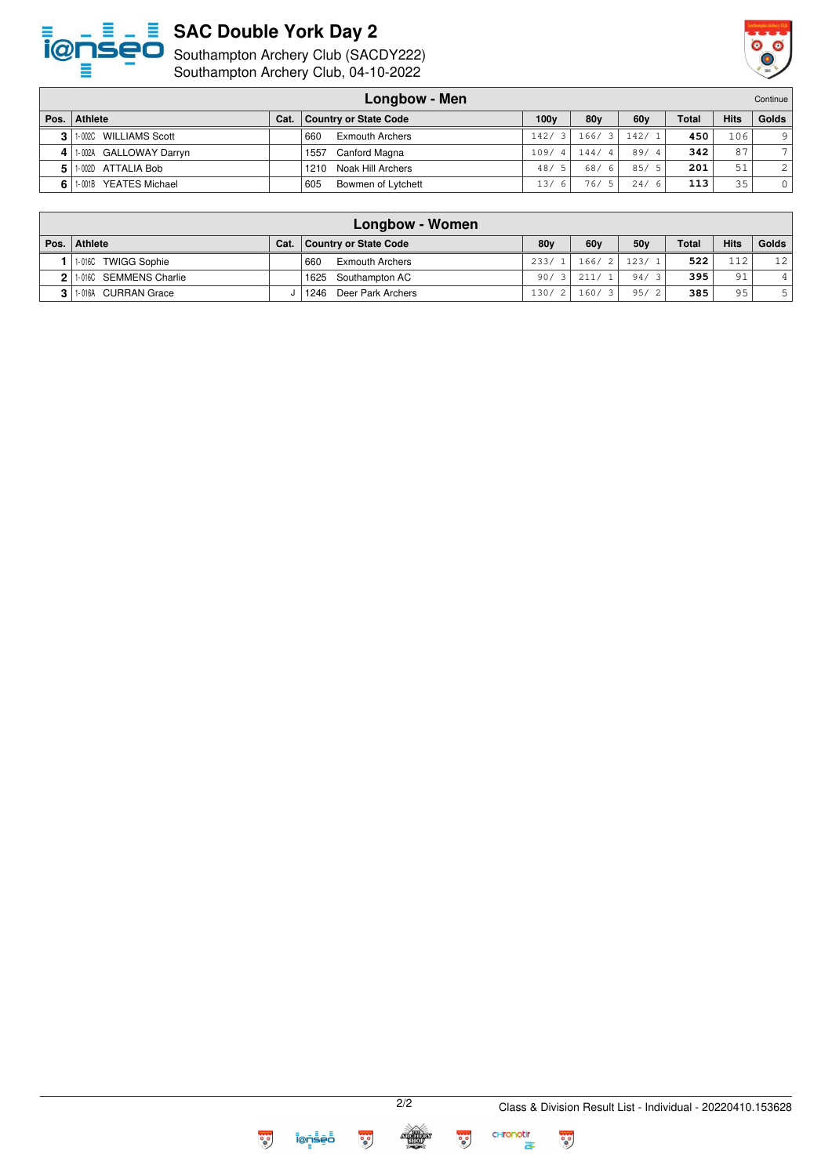

## **SAC Double York Day 2**

Southampton Archery Club (SACDY222)



Southampton Archery Club, 04-10-2022

| Longbow - Men |                                 |      |                               |                  |            |                 |              | Continue    |                |
|---------------|---------------------------------|------|-------------------------------|------------------|------------|-----------------|--------------|-------------|----------------|
| Pos.          | <b>Athlete</b>                  | Cat. | Country or State Code         | 100 <sub>V</sub> | 80y        | 60 <sub>V</sub> | <b>Total</b> | <b>Hits</b> | <b>Golds</b>   |
| 3             | 1-002C WILLIAMS Scott           |      | <b>Exmouth Archers</b><br>660 | 142/             | 166/<br>31 | 142/1           | 450          | 106         | 9              |
| 4             | 1-002A GALLOWAY Darryn          |      | Canford Magna<br>1557         | 109/<br>4 I      | 144/4      | 89/4            | 342          | 87          | $\overline{7}$ |
| 5             | 1-002D ATTALIA Bob              |      | Noak Hill Archers<br>1210     | 48/<br>5         | 68/<br>-61 | 85/5            | 201          | 51          | 2              |
|               | <b>YEATES Michael</b><br>1-001B |      | 605<br>Bowmen of Lytchett     | 13/<br>6         | 76/51      | 24/<br>- 6      | 113          | 35          | $\Omega$       |

|    | Longbow - Women        |      |                               |                 |       |                 |       |             |                 |  |
|----|------------------------|------|-------------------------------|-----------------|-------|-----------------|-------|-------------|-----------------|--|
|    | Pos.   Athlete         | Cat. | Country or State Code         | 80 <sub>V</sub> | 60y   | 50 <sub>V</sub> | Total | <b>Hits</b> | Golds           |  |
|    | 1-016C TWIGG Sophie    |      | <b>Exmouth Archers</b><br>660 | 233/1           | 166/2 | 123/1           | 522   | 112         | 12 <sup>1</sup> |  |
| 21 | 1-016C SEMMENS Charlie |      | 1625 Southampton AC           | 90/             | 211/1 | 94/3            | 395   | 91          |                 |  |
| 31 | 1-016A CURRAN Grace    |      | 1246 Deer Park Archers        | 130/2           | 160/3 | 95/2            | 385   | 95          |                 |  |



 $\frac{1}{2}$ 

**CHronotin**<br>존

**PO** 

 $\frac{1}{2}$ 

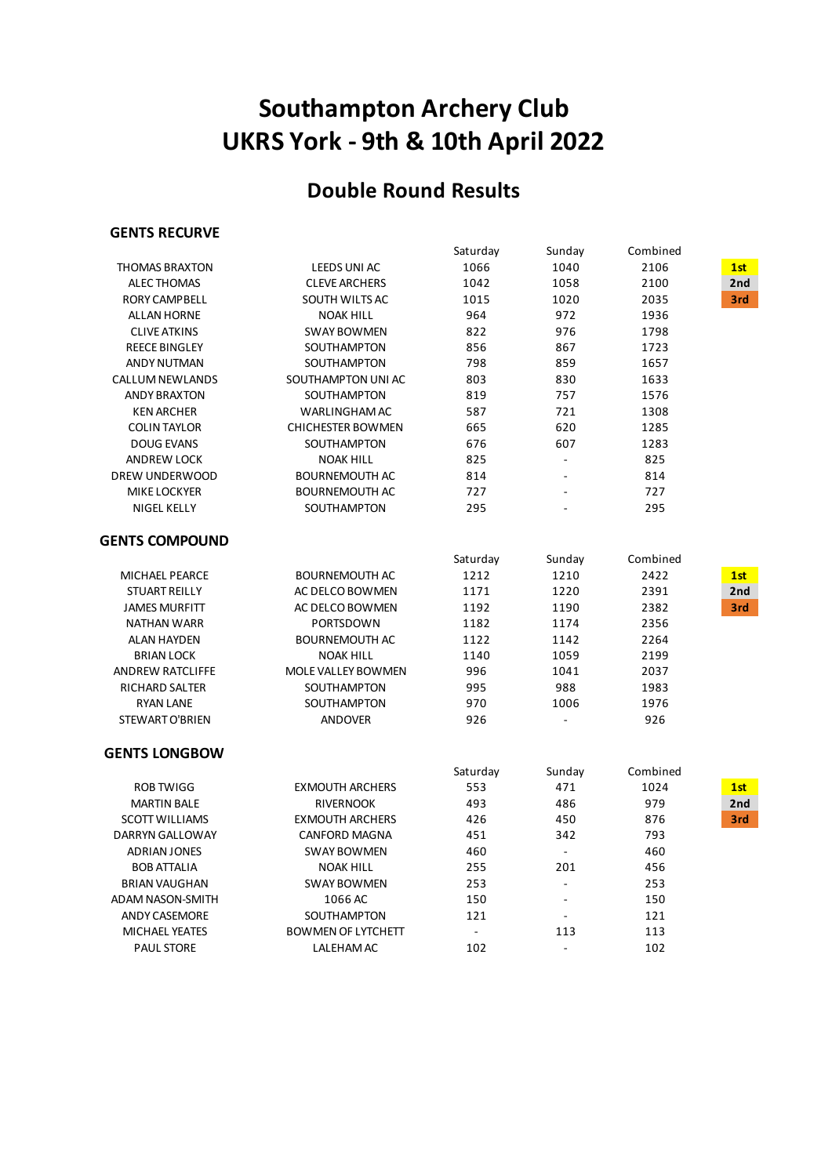# **UKRS York - 9th & 10th April 2022 Southampton Archery Club**

# **Double Round Results**

### **GENTS RECURVE**

|                         |                           | Saturday       | Sunday         | Combined |                 |
|-------------------------|---------------------------|----------------|----------------|----------|-----------------|
| <b>THOMAS BRAXTON</b>   | <b>LEEDS UNI AC</b>       | 1066           | 1040           | 2106     | 1st             |
| <b>ALEC THOMAS</b>      | <b>CLEVE ARCHERS</b>      | 1042           | 1058           | 2100     | 2 <sub>nd</sub> |
| <b>RORY CAMPBELL</b>    | SOUTH WILTS AC            | 1015           | 1020           | 2035     | 3rd             |
| <b>ALLAN HORNE</b>      | <b>NOAK HILL</b>          | 964            | 972            | 1936     |                 |
| <b>CLIVE ATKINS</b>     | <b>SWAY BOWMEN</b>        | 822            | 976            | 1798     |                 |
| <b>REECE BINGLEY</b>    | SOUTHAMPTON               | 856            | 867            | 1723     |                 |
| <b>ANDY NUTMAN</b>      | SOUTHAMPTON               | 798            | 859            | 1657     |                 |
| <b>CALLUM NEWLANDS</b>  | SOUTHAMPTON UNI AC        | 803            | 830            | 1633     |                 |
| <b>ANDY BRAXTON</b>     | SOUTHAMPTON               | 819            | 757            | 1576     |                 |
| <b>KEN ARCHER</b>       | WARLINGHAM AC             | 587            | 721            | 1308     |                 |
| <b>COLIN TAYLOR</b>     | <b>CHICHESTER BOWMEN</b>  | 665            | 620            | 1285     |                 |
| <b>DOUG EVANS</b>       | SOUTHAMPTON               | 676            | 607            | 1283     |                 |
| <b>ANDREW LOCK</b>      | <b>NOAK HILL</b>          | 825            | $\Box$         | 825      |                 |
| DREW UNDERWOOD          | <b>BOURNEMOUTH AC</b>     | 814            | ä,             | 814      |                 |
| <b>MIKE LOCKYER</b>     | <b>BOURNEMOUTH AC</b>     | 727            |                | 727      |                 |
| NIGEL KELLY             | SOUTHAMPTON               | 295            |                | 295      |                 |
| <b>GENTS COMPOUND</b>   |                           |                |                |          |                 |
|                         |                           | Saturday       | Sunday         | Combined |                 |
| MICHAEL PEARCE          | <b>BOURNEMOUTH AC</b>     | 1212           | 1210           | 2422     | 1st             |
| <b>STUART REILLY</b>    | AC DELCO BOWMEN           | 1171           | 1220           | 2391     | 2nd             |
| <b>JAMES MURFITT</b>    | AC DELCO BOWMEN           | 1192           | 1190           | 2382     | 3rd             |
| <b>NATHAN WARR</b>      | PORTSDOWN                 | 1182           | 1174           | 2356     |                 |
| <b>ALAN HAYDEN</b>      | <b>BOURNEMOUTH AC</b>     | 1122           | 1142           | 2264     |                 |
| <b>BRIAN LOCK</b>       | <b>NOAK HILL</b>          | 1140           | 1059           | 2199     |                 |
| <b>ANDREW RATCLIFFE</b> | MOLE VALLEY BOWMEN        | 996            | 1041           | 2037     |                 |
| RICHARD SALTER          | SOUTHAMPTON               | 995            | 988            | 1983     |                 |
| <b>RYAN LANE</b>        | SOUTHAMPTON               | 970            | 1006           | 1976     |                 |
| STEWART O'BRIEN         | <b>ANDOVER</b>            | 926            |                | 926      |                 |
| <b>GENTS LONGBOW</b>    |                           |                |                |          |                 |
|                         |                           | Saturday       | Sunday         | Combined |                 |
| <b>ROB TWIGG</b>        | <b>EXMOUTH ARCHERS</b>    | 553            | 471            | 1024     | 1st             |
| <b>MARTIN BALE</b>      | <b>RIVERNOOK</b>          | 493            | 486            | 979      | 2nd             |
| <b>SCOTT WILLIAMS</b>   | <b>EXMOUTH ARCHERS</b>    | 426            | 450            | 876      | 3rd             |
| DARRYN GALLOWAY         | <b>CANFORD MAGNA</b>      | 451            | 342            | 793      |                 |
| <b>ADRIAN JONES</b>     | <b>SWAY BOWMEN</b>        | 460            | $\mathbf{r}$   | 460      |                 |
| <b>BOB ATTALIA</b>      | <b>NOAK HILL</b>          | 255            | 201            | 456      |                 |
| <b>BRIAN VAUGHAN</b>    | <b>SWAY BOWMEN</b>        | 253            | $\blacksquare$ | 253      |                 |
| ADAM NASON-SMITH        | 1066 AC                   | 150            | $\overline{a}$ | 150      |                 |
| <b>ANDY CASEMORE</b>    | SOUTHAMPTON               | 121            |                | 121      |                 |
| <b>MICHAEL YEATES</b>   | <b>BOWMEN OF LYTCHETT</b> | $\overline{a}$ | 113            | 113      |                 |
| <b>PAUL STORE</b>       | LALEHAM AC                | 102            |                | 102      |                 |